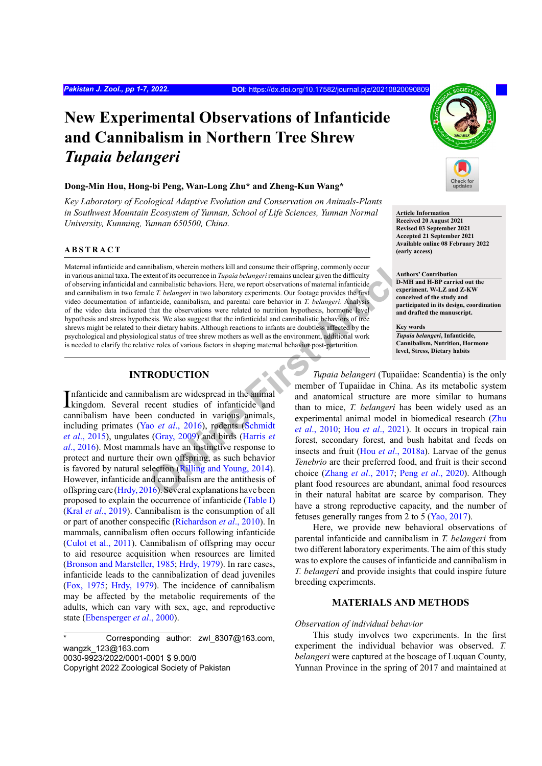# **New Experimental Observations of Infanticide and Cannibalism in Northern Tree Shrew**  *Tupaia belangeri*

# **Dong-Min Hou, Hong-bi Peng, Wan-Long Zhu\* and Zheng-Kun Wang\***

*Key Laboratory of Ecological Adaptive Evolution and Conservation on Animals-Plants in Southwest Mountain Ecosystem of Yunnan, School of Life Sciences, Yunnan Normal University, Kunming, Yunnan 650500, China.*

#### **ABSTRACT**

**Example 1.1** in the interest and consume their offspring, commonly occurred that are the control of the constrained the constrained interest are the enter to the constrained the constrained interest are the enter to the Maternal infanticide and cannibalism, wherein mothers kill and consume their offspring, commonly occur in various animal taxa. The extent of its occurrence in *Tupaia belangeri* remains unclear given the difficulty of observing infanticidal and cannibalistic behaviors. Here, we report observations of maternal infanticide and cannibalism in two female *T. belangeri* in two laboratory experiments. Our footage provides the first video documentation of infanticide, cannibalism, and parental care behavior in *T. belangeri*. Analysis of the video data indicated that the observations were related to nutrition hypothesis, hormone level hypothesis and stress hypothesis. We also suggest that the infanticidal and cannibalistic behaviors of tree shrews might be related to their dietary habits. Although reactions to infants are doubtless affected by the psychological and physiological status of tree shrew mothers as well as the environment, additional work is needed to clarify the relative roles of various factors in shaping maternal behavior post-parturition.

# **INTRODUCTION**

Infanticide and cannibalism are widespread in the animal<br>kingdom. Several recent studies of infanticide and kingdom. Several recent studies of infanticide and cannibalism have been conducted in various animals, including primates (Yao *et al*., 2016), rodents (Schmidt *et al*., 2015), ungulates (Gray, 2009) and birds (Harris *et al*., 2016). Most mammals have an instinctive response to protect and nurture their own offspring, as such behavior is favored by natural selection (Rilling and Young, 2014). However, infanticide and cannibalism are the antithesis of offspring care (Hrdy, 2016). Several explanations have been proposed to explain the occurrence of infanticide (Table I) (Kral *et al*., 2019). Cannibalism is the consumption of all or part of another conspecific (Richardson *et al*., 2010). In mammals, cannibalism often occurs following infanticide (Culot et al., 2011). Cannibalism of offspring may occur to aid resource acquisition when resources are limited (Bronson and Marsteller, 1985; Hrdy, 1979). In rare cases, infanticide leads to the cannibalization of dead juveniles (Fox, 1975; Hrdy, 1979). The incidence of cannibalism may be affected by the metabolic requirements of the adults, which can vary with sex, age, and reproductive state (Ebensperger *et al*., 2000).

Corresponding author: zwl 8307@163.com, wangzk\_123@163.com 0030-9923/2022/0001-0001 \$ 9.00/0 Copyright 2022 Zoological Society of Pakistan



#### **Article Information**

**Received 20 August 2021 Revised 03 September 2021 Accepted 21 September 2021 Available online 08 February 2022 (early access)**

#### **Authors' Contribution D-MH and H-BP carried out the experiment. W-LZ and Z-KW conceived of the study and participated in its design, coordination and drafted the manuscript.**

**Key words** *Tupaia belangeri***, Infanticide, Cannibalism, Nutrition, Hormone level, Stress, Dietary habits**

*Tupaia belangeri* (Tupaiidae: Scandentia) is the only member of Tupaiidae in China. As its metabolic system and anatomical structure are more similar to humans than to mice, *T. belangeri* has been widely used as an experimental animal model in biomedical research (Zhu *et al*., 2010; Hou *et al*., 2021). It occurs in tropical rain forest, secondary forest, and bush habitat and feeds on insects and fruit (Hou *et al*., 2018a). Larvae of the genus *Tenebrio* are their preferred food, and fruit is their second choice (Zhang *et al*., 2017; Peng *et al*., 2020). Although plant food resources are abundant, animal food resources in their natural habitat are scarce by comparison. They have a strong reproductive capacity, and the number of fetuses generally ranges from 2 to 5 (Yao, 2017).

Here, we provide new behavioral observations of parental infanticide and cannibalism in *T. belangeri* from two different laboratory experiments. The aim of this study was to explore the causes of infanticide and cannibalism in *T. belangeri* and provide insights that could inspire future breeding experiments.

# **MATERIALS AND METHODS**

### *Observation of individual behavior*

This study involves two experiments. In the first experiment the individual behavior was observed. *T. belangeri* were captured at the boscage of Luquan County, Yunnan Province in the spring of 2017 and maintained at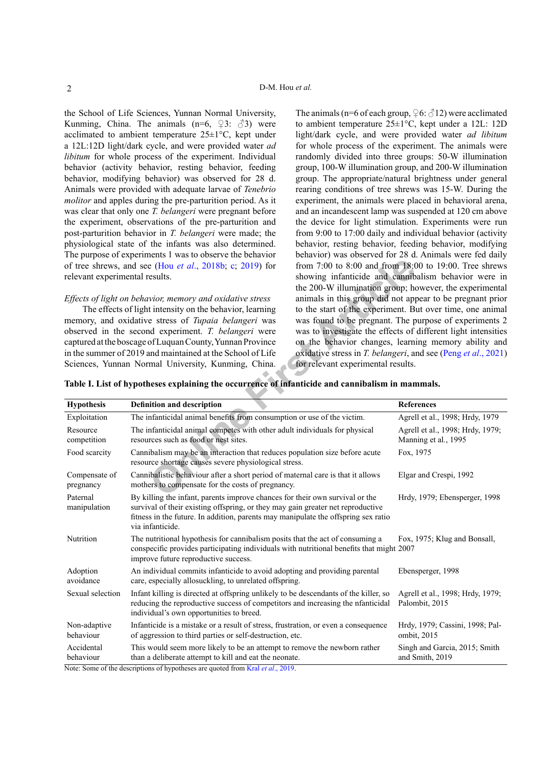the School of Life Sciences, Yunnan Normal University, Kunming, China. The animals  $(n=6, 93; 3)$  were acclimated to ambient temperature  $25 \pm 1$ °C, kept under a 12L:12D light/dark cycle, and were provided water *ad libitum* for whole process of the experiment. Individual behavior (activity behavior, resting behavior, feeding behavior, modifying behavior) was observed for 28 d. Animals were provided with adequate larvae of *Tenebrio molitor* and apples during the pre-parturition period. As it was clear that only one *T. belangeri* were pregnant before the experiment, observations of the pre-parturition and post-parturition behavior in *T. belangeri* were made; the physiological state of the infants was also determined. The purpose of experiments 1 was to observe the behavior of tree shrews, and see (Hou *et al*., 2018b; c; 2019) for relevant experimental results.

#### *Effects of light on behavior, memory and oxidative stress*

The animals (n=6 of each group,  $\varphi$ 6:  $\varphi$ 12) were acclimated to ambient temperature 25±1°C, kept under a 12L: 12D light/dark cycle, and were provided water *ad libitum* for whole process of the experiment. The animals were randomly divided into three groups: 50-W illumination group, 100-W illumination group, and 200-W illumination group. The appropriate/natural brightness under general rearing conditions of tree shrews was 15-W. During the experiment, the animals were placed in behavioral arena, and an incandescent lamp was suspended at 120 cm above the device for light stimulation. Experiments were run from 9:00 to 17:00 daily and individual behavior (activity behavior, resting behavior, feeding behavior, modifying behavior) was observed for 28 d. Animals were fed daily from 7:00 to 8:00 and from 18:00 to 19:00. Tree shrews showing infanticide and cannibalism behavior were in the 200-W illumination group; however, the experimental animals in this group did not appear to be pregnant prior to the start of the experiment. But over time, one animal was found to be pregnant. The purpose of experiments 2 was to investigate the effects of different light intensities on the behavior changes, learning memory ability and oxidative stress in *T. belangeri*, and see (Peng *et al*., 2021) for relevant experimental results.

| Table I. List of hypotheses explaining the occurrence of infanticide and cannibalism in mammals. |  |  |  |  |  |
|--------------------------------------------------------------------------------------------------|--|--|--|--|--|
|--------------------------------------------------------------------------------------------------|--|--|--|--|--|

| relevant experimental results. | of tree shrews, and see (Hou et al., 2018b; c; 2019) for<br>Effects of light on behavior, memory and oxidative stress<br>The effects of light intensity on the behavior, learning<br>memory, and oxidative stress of Tupaia belangeri was<br>observed in the second experiment. T. belangeri were<br>captured at the boscage of Luquan County, Yunnan Province<br>in the summer of 2019 and maintained at the School of Life<br>Sciences, Yunnan Normal University, Kunming, China. | from 7:00 to 8:00 and from 18:00 to 19:00. Tree shrews<br>showing infanticide and cannibalism behavior were in<br>the 200-W illumination group; however, the experimental<br>animals in this group did not appear to be pregnant prior<br>to the start of the experiment. But over time, one animal<br>was found to be pregnant. The purpose of experiments 2<br>was to investigate the effects of different light intensities<br>on the behavior changes, learning memory ability and<br>oxidative stress in T. belangeri, and see (Peng et al., 2021)<br>for relevant experimental results. |                                                          |  |
|--------------------------------|-------------------------------------------------------------------------------------------------------------------------------------------------------------------------------------------------------------------------------------------------------------------------------------------------------------------------------------------------------------------------------------------------------------------------------------------------------------------------------------|-----------------------------------------------------------------------------------------------------------------------------------------------------------------------------------------------------------------------------------------------------------------------------------------------------------------------------------------------------------------------------------------------------------------------------------------------------------------------------------------------------------------------------------------------------------------------------------------------|----------------------------------------------------------|--|
|                                | Table I. List of hypotheses explaining the occurrence of infanticide and cannibalism in mammals.                                                                                                                                                                                                                                                                                                                                                                                    |                                                                                                                                                                                                                                                                                                                                                                                                                                                                                                                                                                                               |                                                          |  |
| <b>Hypothesis</b>              | <b>Definition and description</b>                                                                                                                                                                                                                                                                                                                                                                                                                                                   |                                                                                                                                                                                                                                                                                                                                                                                                                                                                                                                                                                                               | <b>References</b>                                        |  |
| Exploitation                   | The infanticidal animal benefits from consumption or use of the victim.                                                                                                                                                                                                                                                                                                                                                                                                             |                                                                                                                                                                                                                                                                                                                                                                                                                                                                                                                                                                                               | Agrell et al., 1998; Hrdy, 1979                          |  |
| Resource<br>competition        | The infanticidal animal competes with other adult individuals for physical<br>resources such as food or nest sites.                                                                                                                                                                                                                                                                                                                                                                 |                                                                                                                                                                                                                                                                                                                                                                                                                                                                                                                                                                                               | Agrell et al., 1998; Hrdy, 1979;<br>Manning et al., 1995 |  |
| Food scarcity                  | Cannibalism may be an interaction that reduces population size before acute<br>resource shortage causes severe physiological stress.                                                                                                                                                                                                                                                                                                                                                |                                                                                                                                                                                                                                                                                                                                                                                                                                                                                                                                                                                               | Fox, 1975                                                |  |
| Compensate of<br>pregnancy     | Cannibalistic behaviour after a short period of maternal care is that it allows<br>mothers to compensate for the costs of pregnancy.                                                                                                                                                                                                                                                                                                                                                |                                                                                                                                                                                                                                                                                                                                                                                                                                                                                                                                                                                               | Elgar and Crespi, 1992                                   |  |
| Paternal<br>manipulation       | By killing the infant, parents improve chances for their own survival or the<br>survival of their existing offspring, or they may gain greater net reproductive<br>fitness in the future. In addition, parents may manipulate the offspring sex ratio<br>via infanticide.                                                                                                                                                                                                           | Hrdy, 1979; Ebensperger, 1998                                                                                                                                                                                                                                                                                                                                                                                                                                                                                                                                                                 |                                                          |  |
| Nutrition                      | The nutritional hypothesis for cannibalism posits that the act of consuming a<br>Fox, 1975; Klug and Bonsall,<br>conspecific provides participating individuals with nutritional benefits that might 2007<br>improve future reproductive success.                                                                                                                                                                                                                                   |                                                                                                                                                                                                                                                                                                                                                                                                                                                                                                                                                                                               |                                                          |  |
| Adoption<br>avoidance          | An individual commits infanticide to avoid adopting and providing parental<br>care, especially allosuckling, to unrelated offspring.                                                                                                                                                                                                                                                                                                                                                |                                                                                                                                                                                                                                                                                                                                                                                                                                                                                                                                                                                               | Ebensperger, 1998                                        |  |
| Sexual selection               | Infant killing is directed at offspring unlikely to be descendants of the killer, so<br>reducing the reproductive success of competitors and increasing the nfanticidal<br>individual's own opportunities to breed.                                                                                                                                                                                                                                                                 |                                                                                                                                                                                                                                                                                                                                                                                                                                                                                                                                                                                               | Agrell et al., 1998; Hrdy, 1979;<br>Palombit, 2015       |  |
| Non-adaptive<br>behaviour      | Infanticide is a mistake or a result of stress, frustration, or even a consequence<br>of aggression to third parties or self-destruction, etc.                                                                                                                                                                                                                                                                                                                                      |                                                                                                                                                                                                                                                                                                                                                                                                                                                                                                                                                                                               | Hrdy, 1979; Cassini, 1998; Pal-<br>ombit, 2015           |  |
| Accidental<br>behaviour        | This would seem more likely to be an attempt to remove the newborn rather<br>than a deliberate attempt to kill and eat the neonate.<br>$N_{\text{min}}$ , $\theta_{\text{max}}$ , $\epsilon$ $\theta_{\text{max}}$ , decorations, $\epsilon$ become the second control from $V_{\text{min}}$ , at al. 2010.                                                                                                                                                                         | Singh and Garcia, 2015; Smith<br>and Smith, 2019                                                                                                                                                                                                                                                                                                                                                                                                                                                                                                                                              |                                                          |  |

Note: Some of the descriptions of hypotheses are quoted from Kral *et al*., 2019.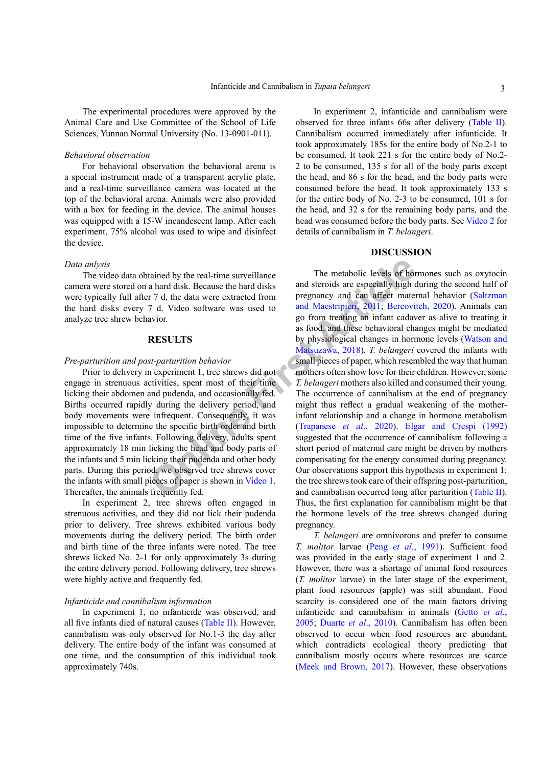The experimental procedures were approved by the Animal Care and Use Committee of the School of Life Sciences, Yunnan Normal University (No. 13-0901-011).

## *Behavioral observation*

For behavioral observation the behavioral arena is a special instrument made of a transparent acrylic plate, and a real-time surveillance camera was located at the top of the behavioral arena. Animals were also provided with a box for feeding in the device. The animal houses was equipped with a 15-W incandescent lamp. After each experiment, 75% alcohol was used to wipe and disinfect the device.

#### *Data anlysis*

The video data obtained by the real-time surveillance camera were stored on a hard disk. Because the hard disks were typically full after 7 d, the data were extracted from the hard disks every 7 d. Video software was used to analyze tree shrew behavior.

## **RESULTS**

#### *Pre-parturition and post-parturition behavior*

Prior to delivery in experiment 1, tree shrews did not engage in strenuous activities, spent most of their time licking their abdomen and pudenda, and occasionally fed. Births occurred rapidly during the delivery period, and body movements were infrequent. Consequently, it was impossible to determine the specific birth order and birth time of the five infants. Following delivery, adults spent approximately 18 min licking the head and body parts of the infants and 5 min licking their pudenda and other body parts. During this period, we observed tree shrews cover the infants with small pieces of paper is shown in Video 1. Thereafter, the animals frequently fed.

In experiment 2, tree shrews often engaged in strenuous activities, and they did not lick their pudenda prior to delivery. Tree shrews exhibited various body movements during the delivery period. The birth order and birth time of the three infants were noted. The tree shrews licked No. 2-1 for only approximately 3s during the entire delivery period. Following delivery, tree shrews were highly active and frequently fed.

### *Infanticide and cannibalism information*

In experiment 1, no infanticide was observed, and all five infants died of natural causes (Table II). However, cannibalism was only observed for No.1-3 the day after delivery. The entire body of the infant was consumed at one time, and the consumption of this individual took approximately 740s.

In experiment 2, infanticide and cannibalism were observed for three infants 66s after delivery (Table II). Cannibalism occurred immediately after infanticide. It took approximately 185s for the entire body of No.2-1 to be consumed. It took 221 s for the entire body of No.2- 2 to be consumed, 135 s for all of the body parts except the head, and 86 s for the head, and the body parts were consumed before the head. It took approximately 133 s for the entire body of No. 2-3 to be consumed, 101 s for the head, and 32 s for the remaining body parts, and the head was consumed before the body parts. See Video 2 for details of cannibalism in *T. belangeri*.

# **DISCUSSION**

tained by the real-time surveillance<br>
a hard disk. Because the hard disks<br>
and steroids are especially high<br>
r 7 d, the data were extracted from<br>
pregnancy and can affect matter<br>
7 d. Video software was used to<br>
and Maestr The metabolic levels of hormones such as oxytocin and steroids are especially high during the second half of pregnancy and can affect maternal behavior (Saltzman and Maestripieri, 2011; Bercovitch, 2020). Animals can go from treating an infant cadaver as alive to treating it as food, and these behavioral changes might be mediated by physiological changes in hormone levels (Watson and Matsuzawa, 2018). *T. belangeri* covered the infants with small pieces of paper, which resembled the way that human mothers often show love for their children. However, some *T. belangeri* mothers also killed and consumed their young. The occurrence of cannibalism at the end of pregnancy might thus reflect a gradual weakening of the motherinfant relationship and a change in hormone metabolism (Trapanese *et al*., 2020). Elgar and Crespi (1992) suggested that the occurrence of cannibalism following a short period of maternal care might be driven by mothers compensating for the energy consumed during pregnancy. Our observations support this hypothesis in experiment 1: the tree shrews took care of their offspring post-parturition, and cannibalism occurred long after parturition (Table II). Thus, the first explanation for cannibalism might be that the hormone levels of the tree shrews changed during pregnancy.

> *T. belangeri* are omnivorous and prefer to consume *T. molitor* larvae (Peng *et al*., 1991). Sufficient food was provided in the early stage of experiment 1 and 2. However, there was a shortage of animal food resources (*T. molitor* larvae) in the later stage of the experiment, plant food resources (apple) was still abundant. Food scarcity is considered one of the main factors driving infanticide and cannibalism in animals (Getto *et al*., 2005; Duarte *et al*., 2010). Cannibalism has often been observed to occur when food resources are abundant, which contradicts ecological theory predicting that cannibalism mostly occurs where resources are scarce (Meek and Brown, 2017). However, these observations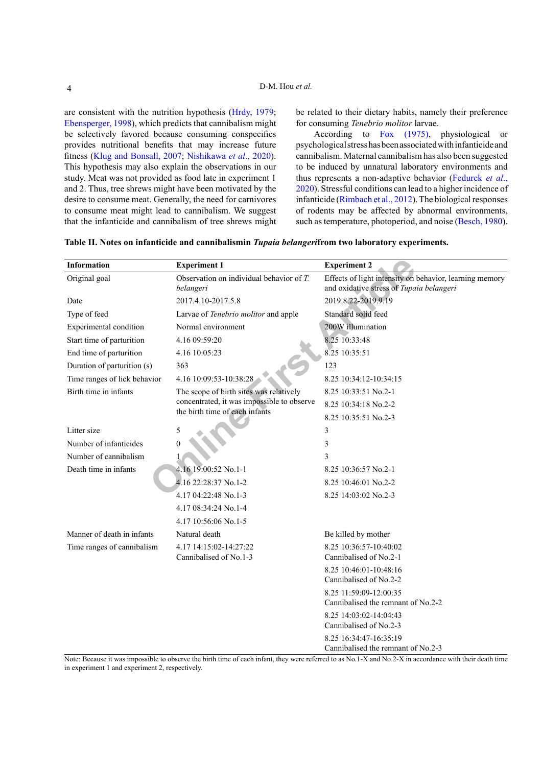are consistent with the nutrition hypothesis (Hrdy, 1979; Ebensperger, 1998), which predicts that cannibalism might be selectively favored because consuming conspecifics provides nutritional benefits that may increase future fitness (Klug and Bonsall, 2007; Nishikawa *et al*., 2020). This hypothesis may also explain the observations in our study. Meat was not provided as food late in experiment 1 and 2. Thus, tree shrews might have been motivated by the desire to consume meat. Generally, the need for carnivores to consume meat might lead to cannibalism. We suggest that the infanticide and cannibalism of tree shrews might be related to their dietary habits, namely their preference for consuming *Tenebrio molitor* larvae.

According to Fox (1975), physiological or psychological stress has been associated with infanticide and cannibalism. Maternal cannibalism has also been suggested to be induced by unnatural laboratory environments and thus represents a non-adaptive behavior (Fedurek *et al*., 2020). Stressful conditions can lead to a higher incidence of infanticide (Rimbach et al., 2012). The biological responses of rodents may be affected by abnormal environments, such as temperature, photoperiod, and noise (Besch, 1980).

| <b>Information</b>           | <b>Experiment 1</b>                                                          | <b>Experiment 2</b>                                                                                 |  |  |
|------------------------------|------------------------------------------------------------------------------|-----------------------------------------------------------------------------------------------------|--|--|
| Original goal                | Observation on individual behavior of $T$ .<br>belangeri                     | Effects of light intensity on behavior, learning memory<br>and oxidative stress of Tupaia belangeri |  |  |
| Date                         | 2017.4.10-2017.5.8                                                           | 2019.8.22-2019.9.19                                                                                 |  |  |
| Type of feed                 | Larvae of Tenebrio molitor and apple                                         | Standard solid feed                                                                                 |  |  |
| Experimental condition       | Normal environment                                                           | 200W illumination                                                                                   |  |  |
| Start time of parturition    | 4.16 09:59:20                                                                | 8.25 10:33:48                                                                                       |  |  |
| End time of parturition      | 4.16 10:05:23                                                                | 8.25 10:35:51                                                                                       |  |  |
| Duration of parturition (s)  | 363                                                                          | 123                                                                                                 |  |  |
| Time ranges of lick behavior | 4.16 10:09:53-10:38:28                                                       | 8.25 10:34:12-10:34:15                                                                              |  |  |
| Birth time in infants        | The scope of birth sites was relatively                                      | 8.25 10:33:51 No.2-1                                                                                |  |  |
|                              | concentrated, it was impossible to observe<br>the birth time of each infants | 8.25 10:34:18 No.2-2                                                                                |  |  |
|                              |                                                                              | 8.25 10:35:51 No.2-3                                                                                |  |  |
| Litter size                  | 5                                                                            | 3                                                                                                   |  |  |
| Number of infanticides       | $\theta$                                                                     | 3                                                                                                   |  |  |
| Number of cannibalism        |                                                                              | 3                                                                                                   |  |  |
| Death time in infants        | 4.16 19:00:52 No.1-1                                                         | 8.25 10:36:57 No.2-1                                                                                |  |  |
|                              | 4.16 22:28:37 No.1-2                                                         | 8.25 10:46:01 No.2-2                                                                                |  |  |
|                              | 4.17 04:22:48 No.1-3                                                         | 8.25 14:03:02 No.2-3                                                                                |  |  |
|                              | 4.17 08:34:24 No.1-4                                                         |                                                                                                     |  |  |
|                              | 4.17 10:56:06 No.1-5                                                         |                                                                                                     |  |  |
| Manner of death in infants   | Natural death                                                                | Be killed by mother                                                                                 |  |  |
| Time ranges of cannibalism   | 4.17 14:15:02-14:27:22<br>Cannibalised of No.1-3                             | 8.25 10:36:57-10:40:02<br>Cannibalised of No.2-1                                                    |  |  |
|                              |                                                                              | 8.25 10:46:01-10:48:16<br>Cannibalised of No.2-2                                                    |  |  |
|                              |                                                                              | 8.25 11:59:09-12:00:35<br>Cannibalised the remnant of No.2-2                                        |  |  |
|                              |                                                                              | 8.25 14:03:02-14:04:43<br>Cannibalised of No.2-3                                                    |  |  |
|                              |                                                                              | 8.25 16:34:47-16:35:19<br>Cannibalised the remnant of No.2-3                                        |  |  |

Note: Because it was impossible to observe the birth time of each infant, they were referred to as No.1-X and No.2-X in accordance with their death time in experiment 1 and experiment 2, respectively.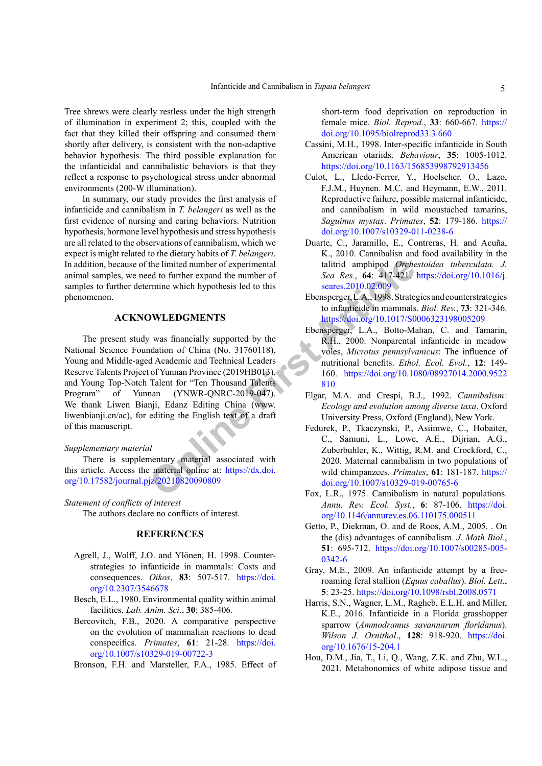Tree shrews were clearly restless under the high strength of illumination in experiment 2; this, coupled with the fact that they killed their offspring and consumed them shortly after delivery, is consistent with the non-adaptive behavior hypothesis. The third possible explanation for the infanticidal and cannibalistic behaviors is that they reflect a response to psychological stress under abnormal environments (200-W illumination).

In summary, our study provides the first analysis of infanticide and cannibalism in *T. belangeri* as well as the first evidence of nursing and caring behaviors. Nutrition hypothesis, hormone level hypothesis and stress hypothesis are all related to the observations of cannibalism, which we expect is might related to the dietary habits of *T. belangeri*. In addition, because of the limited number of experimental animal samples, we need to further expand the number of samples to further determine which hypothesis led to this phenomenon.

# **ACKNOWLEDGMENTS**

the limited number of experimental<br>
ed to further expand the number of Sea Res., 64: 417-421<br>
Trime which hypothesis led to this<br>
Ebensperge, L.A., 1998. Strate<br>
to infanticale in manumals<br>
buttps://doi.org/10.1017/S0<br>
Ebe The present study was financially supported by the National Science Foundation of China (No. 31760118), Young and Middle-aged Academic and Technical Leaders Reserve Talents Project of Yunnan Province (2019HB013), and Young Top-Notch Talent for "Ten Thousand Talents Program" of Yunnan (YNWR-QNRC-2019-047). We thank Liwen Bianji, Edanz Editing China (www. liwenbianji.cn/ac), for editing the English text of a draft of this manuscript.

#### *Supplementary material*

There is supplementary material associated with this article. Access the material online at: https://dx.doi. [org/10.17582/journal.pjz/20210820090809](https://dx.doi.org/10.17582/journal.pjz/20210820090809)

# *Statement of conflicts of interest*

The authors declare no conflicts of interest.

# **REFERENCES**

- Agrell, J., Wolff, J.O. and Ylönen, H. 1998. Counterstrategies to infanticide in mammals: Costs and consequences. *Oikos*, **83**: 507-517. [https://doi.](https://doi.org/10.2307/3546678) [org/10.2307/3546678](https://doi.org/10.2307/3546678)
- Besch, E.L., 1980. Environmental quality within animal facilities. *Lab. Anim. Sci*., **30**: 385-406.
- Bercovitch, F.B., 2020. A comparative perspective on the evolution of mammalian reactions to dead conspecifics. *Primates*, **61**: 21-28. [https://doi.](https://doi.org/10.1007/s10329-019-00722-3) [org/10.1007/s10329-019-00722-3](https://doi.org/10.1007/s10329-019-00722-3)

Bronson, F.H. and Marsteller, F.A., 1985. Effect of

short-term food deprivation on reproduction in female mice. *Biol. Reprod.*, **33**: 660-667. [https://](https://doi.org/10.1095/biolreprod33.3.660) [doi.org/10.1095/biolreprod33.3.660](https://doi.org/10.1095/biolreprod33.3.660)

- Cassini, M.H., 1998. Inter-specific infanticide in South American otariids. *Behaviour*, **35**: 1005-1012. <https://doi.org/10.1163/156853998792913456>
- Culot, L., Lledo-Ferrer, Y., Hoelscher, O., Lazo, F.J.M., Huynen. M.C. and Heymann, E.W., 2011. Reproductive failure, possible maternal infanticide, and cannibalism in wild moustached tamarins, *Saguinus mystax*. *Primates*, **52**: 179-186. [https://](https://doi.org/10.1007/s10329-011-0238-6) [doi.org/10.1007/s10329-011-0238-6](https://doi.org/10.1007/s10329-011-0238-6)
- Duarte, C., Jaramillo, E., Contreras, H. and Acuña, K., 2010. Cannibalisn and food availability in the talitrid amphipod *Orchestoidea tuberculata. J. Sea Res.*, **64**: 417-421. [https://doi.org/10.1016/j.](https://doi.org/10.1016/j.seares.2010.02.009) seares.2010.02.009
- Ebensperger, L.A., 1998. Strategies and counterstrategies to infanticide in mammals. *Biol. Rev.*, **73**: 321-346. <https://doi.org/10.1017/S0006323198005209>
- Ebensperger, L.A., Botto-Mahan, C. and Tamarin, R.H., 2000. Nonparental infanticide in meadow voles, *Microtus pennsylvanicus*: The influence of nutritional benefits. *Ethol. Ecol. Evol.*, **12**: 149- 160. [https://doi.org/10.1080/08927014.2000.9522](https://doi.org/10.1080/08927014.2000.9522810) 810
- Elgar, M.A. and Crespi, B.J., 1992. *Cannibalism: Ecology and evolution among diverse taxa*. Oxford University Press, Oxford (England), New York.
- Fedurek, P., Tkaczynski, P., Asiimwe, C., Hobaiter, C., Samuni, L., Lowe, A.E., Dijrian, A.G., Zuberbuhler, K., Wittig, R.M. and Crockford, C., 2020. Maternal cannibalism in two populations of wild chimpanzees. *Primates*, **61**: 181-187. [https://](https://doi.org/10.1007/s10329-019-00765-6) [doi.org/10.1007/s10329-019-00765-6](https://doi.org/10.1007/s10329-019-00765-6)
- Fox, L.R., 1975. Cannibalism in natural populations. *Annu. Rev. Ecol. Syst.*, **6**: 87-106. [https://doi.](https://doi.org/10.1146/annurev.es.06.110175.000511) [org/10.1146/annurev.es.06.110175.000511](https://doi.org/10.1146/annurev.es.06.110175.000511)
- Getto, P., Diekman, O. and de Roos, A.M., 2005. . On the (dis) advantages of cannibalism. *J. Math Biol.*, **51**: 695-712. [https://doi.org/10.1007/s00285-005-](https://doi.org/10.1007/s00285-005-0342-6) [0342-6](https://doi.org/10.1007/s00285-005-0342-6)
- Gray, M.E., 2009. An infanticide attempt by a freeroaming feral stallion (*Equus caballus*). *Biol. Lett.*, **5**: 23-25. <https://doi.org/10.1098/rsbl.2008.0571>
- Harris, S.N., Wagner, L.M., Ragheb, E.L.H. and Miller, K.E., 2016. Infanticide in a Florida grasshopper sparrow (*Ammodramus savannarum floridanus*). *Wilson J. Ornithol*., **128**: 918-920. [https://doi.](https://doi.org/10.1676/15-204.1) [org/10.1676/15-204.1](https://doi.org/10.1676/15-204.1)
- Hou, D.M., Jia, T., Li, Q., Wang, Z.K. and Zhu, W.L., 2021. Metabonomics of white adipose tissue and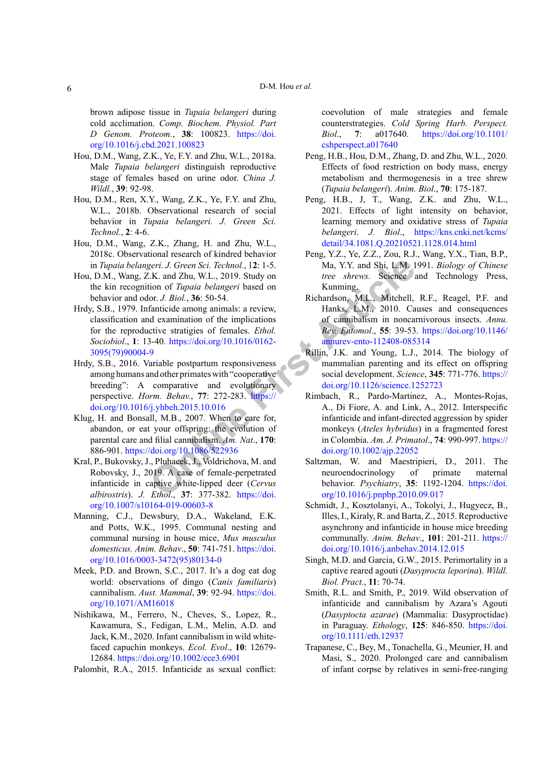### D-M. Hou *et al.*

brown adipose tissue in *Tupaia belangeri* during cold acclimation. *Comp. Biochem. Physiol. Part D Genom. Proteom.*, **38**: 100823. [https://doi.](https://doi.org/10.1016/j.cbd.2021.100823) [org/10.1016/j.cbd.2021.100823](https://doi.org/10.1016/j.cbd.2021.100823)

- Hou, D.M., Wang, Z.K., Ye, F.Y. and Zhu, W.L., 2018a. Male *Tupaia belangeri* distinguish reproductive stage of females based on urine odor. *China J. Wildl.*, **39**: 92-98.
- Hou, D.M., Ren, X.Y., Wang, Z.K., Ye, F.Y. and Zhu, W.L., 2018b. Observational research of social behavior in *Tupaia belangeri. J. Green Sci. Technol.*, **2**: 4-6.
- Hou, D.M., Wang, Z.K., Zhang, H. and Zhu, W.L., 2018c. Observational research of kindred behavior in *Tupaia belangeri. J. Green Sci. Technol.*, 1**2**: 1-5.
- Hou, D.M., Wang, Z.K. and Zhu, W.L., 2019. Study on the kin recognition of *Tupaia belangeri* based on behavior and odor. *J. Biol.*, **36**: 50-54.
- Hrdy, S.B., 1979. Infanticide among animals: a review, classification and examination of the implications for the reproductive stratigies of females. *Ethol. Sociobiol*., **1**: 13-40. https://doi.org/10.1016/0162- [3095\(79\)90004-9](https://doi.org/10.1016/0162-3095(79)90004-9)
- Hrdy, S.B., 2016. Variable postpartum responsiveness among humans and other primates with "cooperative breeding": A comparative and evolutionary perspective. *Horm. Behav.*, **77**: 272-283. https:// [doi.org/10.1016/j.yhbeh.2015.10.016](https://doi.org/10.1016/j.yhbeh.2015.10.016)
- Klug, H. and Bonsall, M.B., 2007. When to care for, abandon, or eat your offspring: the evolution of parental care and filial cannibalism. *Am. Nat*., **170**: 886-901. https://doi.org/10.1086/522936
- Kral, P., Bukovsky, J., Pluhacek, J., Voldrichova, M. and Robovsky, J., 2019. A case of female-perpetrated infanticide in captive white-lipped deer (*Cervus albirostris*). *J. Ethol*., **37**: 377-382. https://doi. [org/10.1007/s10164-019-00603-8](https://doi.org/10.1007/s10164-019-00603-8)
- Manning, C.J., Dewsbury, D.A., Wakeland, E.K. and Potts, W.K., 1995. Communal nesting and communal nursing in house mice, *Mus musculus domesticus. Anim. Behav*., **50**: 741-751. [https://doi.](https://doi.org/10.1016/0003-3472(95)80134-0) [org/10.1016/0003-3472\(95\)80134-0](https://doi.org/10.1016/0003-3472(95)80134-0)
- Meek, P.D. and Brown, S.C., 2017. It's a dog eat dog world: observations of dingo (*Canis familiaris*) cannibalism. *Aust. Mammal*, **39**: 92-94. [https://doi.](https://doi.org/10.1071/AM16018) [org/10.1071/AM16018](https://doi.org/10.1071/AM16018)
- Nishikawa, M., Ferrero, N., Cheves, S., Lopez, R., Kawamura, S., Fedigan, L.M., Melin, A.D. and Jack, K.M., 2020. Infant cannibalism in wild whitefaced capuchin monkeys. *Ecol. Evol*., **10**: 12679- 12684. <https://doi.org/10.1002/ece3.6901>

Palombit, R.A., 2015. Infanticide as sexual conflict:

coevolution of male strategies and female counterstrategies. *Cold Spring Harb. Perspect. Biol*., **7**: a017640. [https://doi.org/10.1101/](https://doi.org/10.1101/cshperspect.a017640) [cshperspect.a017640](https://doi.org/10.1101/cshperspect.a017640)

- Peng, H.B., Hou, D.M., Zhang, D. and Zhu, W.L., 2020. Effects of food restriction on body mass, energy metabolism and thermogenesis in a tree shrew (*Tupaia belangeri*). *Anim. Biol*., **70**: 175-187.
- Peng, H.B., J, T., Wang, Z.K. and Zhu, W.L., 2021. Effects of light intensity on behavior, learning memory and oxidative stress of *Tupaia belangeri*. *J. Biol*., [https://kns.cnki.net/kcms/](https://kns.cnki.net/kcms/detail/34.1081.Q.20210521.1128.014.html ) [detail/34.1081.Q.20210521.1128.014.html](https://kns.cnki.net/kcms/detail/34.1081.Q.20210521.1128.014.html )
- Peng, Y.Z., Ye, Z.Z., Zou, R.J., Wang, Y.X., Tian, B.P., Ma, Y.Y. and Shi, L.M. 1991. *Biology of Chinese tree shrews.* Science and Technology Press, Kunming.
- Richardson, M.L., Mitchell, R.F., Reagel, P.F. and Hanks, L.M., 2010. Causes and consequences of cannibalism in noncarnivorous insects. *Annu. Rev. Entomol*., **55**: 39-53. [https://doi.org/10.1146/](https://doi.org/10.1146/annurev-ento-112408-085314) annurev-ento-112408-085314
- Rillin, J.K. and Young, L.J., 2014. The biology of mammalian parenting and its effect on offspring social development. *Science*, **345**: 771-776. [https://](https://doi.org/10.1126/science.1252723) doi.org/10.1126/science.1252723
- **O[nlin](https://doi.org/10.1086/522936)e [Fi](https://doi.org/10.1016/j.yhbeh.2015.10.016)rs[t](https://doi.org/10.1146/annurev-ento-112408-085314) [A](https://doi.org/10.1146/annurev-ento-112408-085314)rticle** Rimbach, R., Pardo-Martinez, A., Montes-Rojas, A., Di Fiore, A. and Link, A., 2012. Interspecific infanticide and infant-directed aggression by spider monkeys (*Ateles hybridus*) in a fragmented forest in Colombia. *Am. J. Primatol*., **74**: 990-997. [https://](https://doi.org/10.1002/ajp.22052) doi.org/10.1002/ajp.22052
	- Saltzman, W. and Maestripieri, D., 2011. The neuroendocrinology of primate maternal behavior. *Psychiatry*, **35**: 1192-1204. [https://doi.](https://doi.org/10.1016/j.pnpbp.2010.09.017) [org/10.1016/j.pnpbp.2010.09.017](https://doi.org/10.1016/j.pnpbp.2010.09.017)
	- Schmidt, J., Kosztolanyi, A., Tokolyi, J., Hugyecz, B., Illes, I., Kiraly, R. and Barta, Z., 2015. Reproductive asynchrony and infanticide in house mice breeding communally. *Anim. Behav*., **101**: 201-211. [https://](https://doi.org/10.1016/j.anbehav.2014.12.015) [doi.org/10.1016/j.anbehav.2014.12.015](https://doi.org/10.1016/j.anbehav.2014.12.015)
	- Singh, M.D. and Garcia, G.W., 2015. Perimortality in a captive reared agouti (*Dasyprocta leporina*). *Wildl. Biol. Pract.*, **11**: 70-74.
	- Smith, R.L. and Smith, P., 2019. Wild observation of infanticide and cannibalism by Azara's Agouti (*Dasyptocta azarae*) (Mammalia: Dasyproctidae) in Paraguay. *Ethology*, **125**: 846-850. [https://doi.](https://doi.org/10.1111/eth.12937) [org/10.1111/eth.12937](https://doi.org/10.1111/eth.12937)
	- Trapanese, C., Bey, M., Tonachella, G., Meunier, H. and Masi, S., 2020. Prolonged care and cannibalism of infant corpse by relatives in semi-free-ranging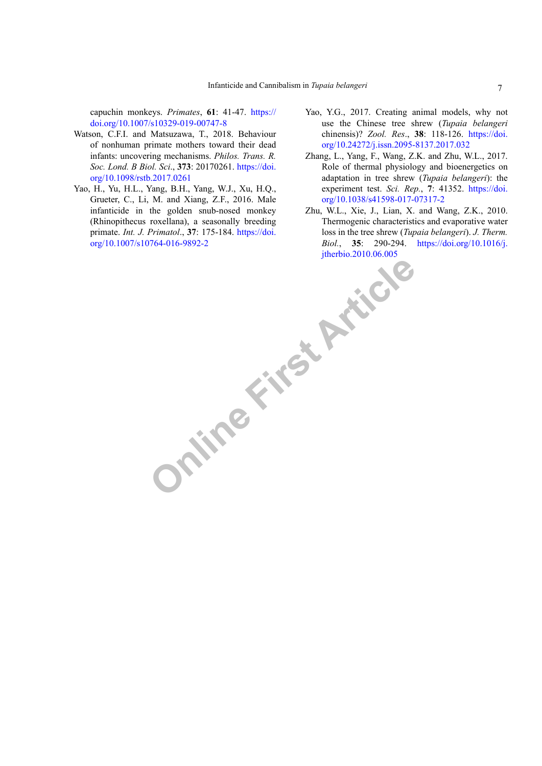capuchin monkeys. *Primates*, **61**: 41-47. [https://](https://doi.org/10.1007/s10329-019-00747-8) [doi.org/10.1007/s10329-019-00747-8](https://doi.org/10.1007/s10329-019-00747-8)

- Watson, C.F.I. and Matsuzawa, T., 2018. Behaviour of nonhuman primate mothers toward their dead infants: uncovering mechanisms. *Philos. Trans. R. Soc. Lond. B Biol. Sci*., **373**: 20170261. [https://doi.](https://doi.org/10.1098/rstb.2017.0261) [org/10.1098/rstb.2017.0261](https://doi.org/10.1098/rstb.2017.0261)
- Yao, H., Yu, H.L., Yang, B.H., Yang, W.J., Xu, H.Q., Grueter, C., Li, M. and Xiang, Z.F., 2016. Male infanticide in the golden snub-nosed monkey (Rhinopithecus roxellana), a seasonally breeding primate. *Int. J. Primatol*., **37**: 175-184. [https://doi.](https://doi.org/10.1007/s10764-016-9892-2) [org/10.1007/s10764-016-9892-2](https://doi.org/10.1007/s10764-016-9892-2)
- Yao, Y.G., 2017. Creating animal models, why not use the Chinese tree shrew (*Tupaia belangeri* chinensis)? *Zool. Res*., **38**: 118-126. [https://doi.](https://doi.org/10.24272/j.issn.2095-8137.2017.032) [org/10.24272/j.issn.2095-8137.2017.032](https://doi.org/10.24272/j.issn.2095-8137.2017.032)
- Zhang, L., Yang, F., Wang, Z.K. and Zhu, W.L., 2017. Role of thermal physiology and bioenergetics on adaptation in tree shrew (*Tupaia belangeri*): the experiment test. *Sci. Rep.*, **7**: 41352. [https://doi.](https://doi.org/10.1038/s41598-017-07317-2) [org/10.1038/s41598-017-07317-2](https://doi.org/10.1038/s41598-017-07317-2)
- Online First Article Zhu, W.L., Xie, J., Lian, X. and Wang, Z.K., 2010. Thermogenic characteristics and evaporative water loss in the tree shrew (*Tupaia belangeri*). *J. Therm. Biol.*, **35**: 290-294. [https://doi.org/10.1016/j.](https://doi.org/10.1016/j.jtherbio.2010.06.005)